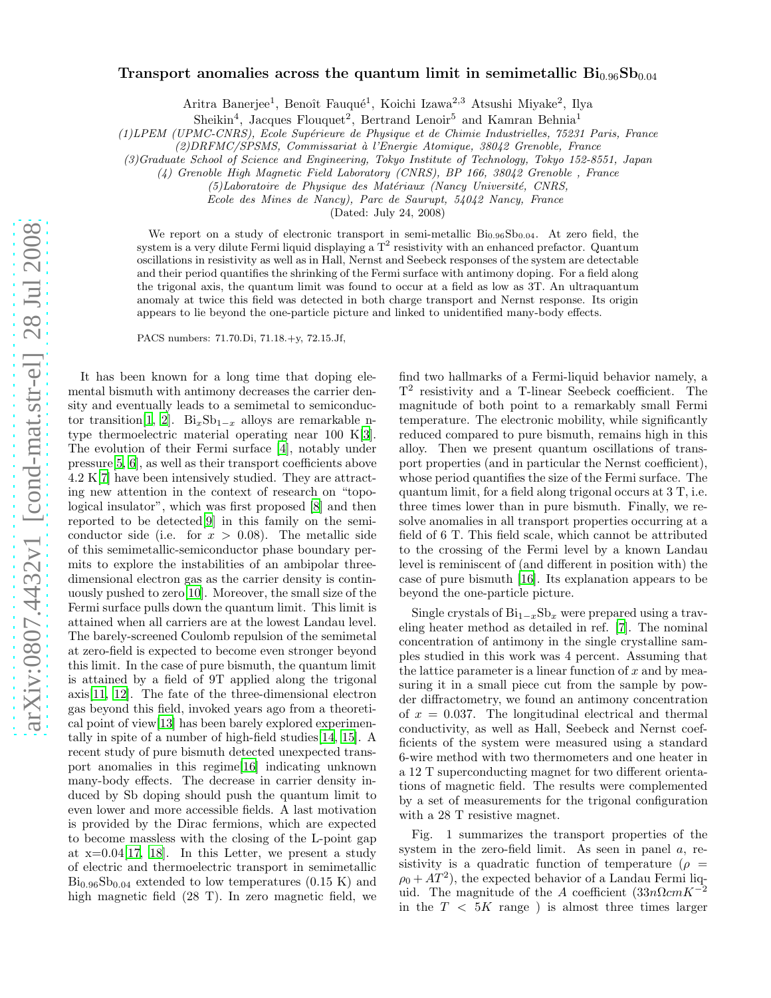## arXiv:0807.4432v1 [cond-mat.str-el] 28 Jul 2008 [arXiv:0807.4432v1 \[cond-mat.str-el\] 28 Jul 2008](http://arxiv.org/abs/0807.4432v1)

## Transport anomalies across the quantum limit in semimetallic  $\text{Bi}_{0.96}\text{Sb}_{0.04}$

Aritra Banerjee<sup>1</sup>, Benoît Fauqué<sup>1</sup>, Koichi Izawa<sup>2,3</sup> Atsushi Miyake<sup>2</sup>, Ilya

Sheikin<sup>4</sup>, Jacques Flouquet<sup>2</sup>, Bertrand Lenoir<sup>5</sup> and Kamran Behnia<sup>1</sup>

 $(1)$ LPEM (UPMC-CNRS), Ecole Supérieure de Physique et de Chimie Industrielles, 75231 Paris, France

(2)DRFMC/SPSMS, Commissariat `a l'Energie Atomique, 38042 Grenoble, France

(3)Graduate School of Science and Engineering, Tokyo Institute of Technology, Tokyo 152-8551, Japan

(4) Grenoble High Magnetic Field Laboratory (CNRS), BP 166, 38042 Grenoble , France

 $(5)$ Laboratoire de Physique des Matériaux (Nancy Université, CNRS,

Ecole des Mines de Nancy), Parc de Saurupt, 54042 Nancy, France

(Dated: July 24, 2008)

We report on a study of electronic transport in semi-metallic  $Bi_{0.96}Sb_{0.04}$ . At zero field, the system is a very dilute Fermi liquid displaying a  $T^2$  resistivity with an enhanced prefactor. Quantum oscillations in resistivity as well as in Hall, Nernst and Seebeck responses of the system are detectable and their period quantifies the shrinking of the Fermi surface with antimony doping. For a field along the trigonal axis, the quantum limit was found to occur at a field as low as 3T. An ultraquantum anomaly at twice this field was detected in both charge transport and Nernst response. Its origin appears to lie beyond the one-particle picture and linked to unidentified many-body effects.

PACS numbers: 71.70.Di, 71.18.+y, 72.15.Jf,

It has been known for a long time that doping elemental bismuth with antimony decreases the carrier density and eventually leads to a semimetal to semiconduc-tor transition[\[1,](#page-3-0) [2](#page-3-1)]. Bi<sub>x</sub>Sb<sub>1−x</sub> alloys are remarkable ntype thermoelectric material operating near 100 K[\[3\]](#page-3-2). The evolution of their Fermi surface [\[4](#page-3-3)], notably under pressure[\[5,](#page-3-4) [6\]](#page-3-5), as well as their transport coefficients above 4.2 K[\[7](#page-3-6)] have been intensively studied. They are attracting new attention in the context of research on "topological insulator", which was first proposed [\[8\]](#page-3-7) and then reported to be detected[\[9\]](#page-3-8) in this family on the semiconductor side (i.e. for  $x > 0.08$ ). The metallic side of this semimetallic-semiconductor phase boundary permits to explore the instabilities of an ambipolar threedimensional electron gas as the carrier density is continuously pushed to zero[\[10\]](#page-3-9). Moreover, the small size of the Fermi surface pulls down the quantum limit. This limit is attained when all carriers are at the lowest Landau level. The barely-screened Coulomb repulsion of the semimetal at zero-field is expected to become even stronger beyond this limit. In the case of pure bismuth, the quantum limit is attained by a field of 9T applied along the trigonal axis[\[11,](#page-3-10) [12\]](#page-3-11). The fate of the three-dimensional electron gas beyond this field, invoked years ago from a theoretical point of view[\[13\]](#page-3-12) has been barely explored experimentally in spite of a number of high-field studies[\[14,](#page-3-13) [15\]](#page-3-14). A recent study of pure bismuth detected unexpected transport anomalies in this regime[\[16\]](#page-3-15) indicating unknown many-body effects. The decrease in carrier density induced by Sb doping should push the quantum limit to even lower and more accessible fields. A last motivation is provided by the Dirac fermions, which are expected to become massless with the closing of the L-point gap at  $x=0.04[17, 18]$  $x=0.04[17, 18]$  $x=0.04[17, 18]$  $x=0.04[17, 18]$ . In this Letter, we present a study of electric and thermoelectric transport in semimetallic  $Bi_{0.96}Sb_{0.04}$  extended to low temperatures  $(0.15 \text{ K})$  and high magnetic field (28 T). In zero magnetic field, we find two hallmarks of a Fermi-liquid behavior namely, a T 2 resistivity and a T-linear Seebeck coefficient. The magnitude of both point to a remarkably small Fermi temperature. The electronic mobility, while significantly reduced compared to pure bismuth, remains high in this alloy. Then we present quantum oscillations of transport properties (and in particular the Nernst coefficient), whose period quantifies the size of the Fermi surface. The quantum limit, for a field along trigonal occurs at 3 T, i.e. three times lower than in pure bismuth. Finally, we resolve anomalies in all transport properties occurring at a field of 6 T. This field scale, which cannot be attributed to the crossing of the Fermi level by a known Landau level is reminiscent of (and different in position with) the case of pure bismuth [\[16\]](#page-3-15). Its explanation appears to be beyond the one-particle picture.

Single crystals of  $\text{Bi}_{1-x}\text{Sb}_x$  were prepared using a traveling heater method as detailed in ref. [\[7](#page-3-6)]. The nominal concentration of antimony in the single crystalline samples studied in this work was 4 percent. Assuming that the lattice parameter is a linear function of  $x$  and by measuring it in a small piece cut from the sample by powder diffractometry, we found an antimony concentration of  $x = 0.037$ . The longitudinal electrical and thermal conductivity, as well as Hall, Seebeck and Nernst coefficients of the system were measured using a standard 6-wire method with two thermometers and one heater in a 12 T superconducting magnet for two different orientations of magnetic field. The results were complemented by a set of measurements for the trigonal configuration with a 28 T resistive magnet.

Fig. 1 summarizes the transport properties of the system in the zero-field limit. As seen in panel  $a$ , resistivity is a quadratic function of temperature ( $\rho =$  $\rho_0 + AT^2$ , the expected behavior of a Landau Fermi liquid. The magnitude of the A coefficient  $(33n\Omega cmK^$ in the  $T < 5K$  range) is almost three times larger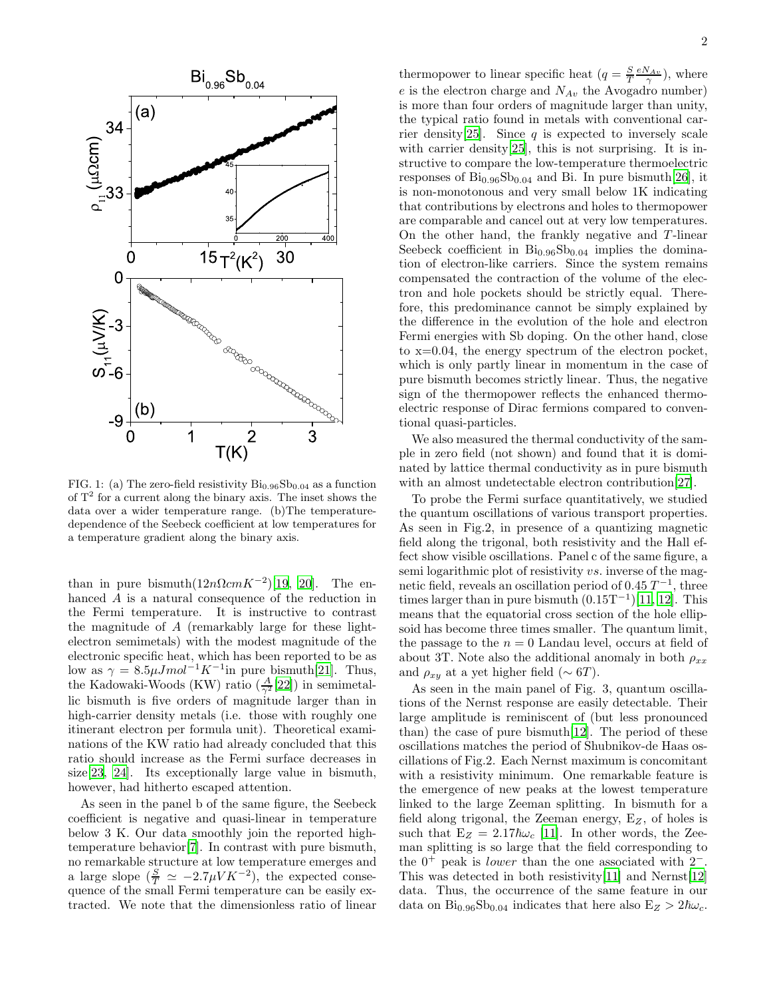

FIG. 1: (a) The zero-field resistivity  $Bi_{0.96}Sb_{0.04}$  as a function of  $T^2$  for a current along the binary axis. The inset shows the data over a wider temperature range. (b)The temperaturedependence of the Seebeck coefficient at low temperatures for a temperature gradient along the binary axis.

than in pure bismuth $(12n\Omega cmK^{-2})$ [\[19](#page-3-18), [20\]](#page-3-19). The enhanced A is a natural consequence of the reduction in the Fermi temperature. It is instructive to contrast the magnitude of A (remarkably large for these lightelectron semimetals) with the modest magnitude of the electronic specific heat, which has been reported to be as low as  $\gamma = 8.5 \mu J mol^{-1} K^{-1}$  in pure bismuth[\[21\]](#page-3-20). Thus, the Kadowaki-Woods (KW) ratio  $\left(\frac{A}{\gamma^2}[22]\right)$  $\left(\frac{A}{\gamma^2}[22]\right)$  $\left(\frac{A}{\gamma^2}[22]\right)$  in semimetallic bismuth is five orders of magnitude larger than in high-carrier density metals (i.e. those with roughly one itinerant electron per formula unit). Theoretical examinations of the KW ratio had already concluded that this ratio should increase as the Fermi surface decreases in size[\[23](#page-3-22), [24\]](#page-3-23). Its exceptionally large value in bismuth, however, had hitherto escaped attention.

As seen in the panel b of the same figure, the Seebeck coefficient is negative and quasi-linear in temperature below 3 K. Our data smoothly join the reported hightemperature behavior[\[7\]](#page-3-6). In contrast with pure bismuth, no remarkable structure at low temperature emerges and a large slope  $(\frac{S}{T} \simeq -2.7 \mu V K^{-2})$ , the expected consequence of the small Fermi temperature can be easily extracted. We note that the dimensionless ratio of linear

thermopower to linear specific heat  $(q = \frac{S}{T} \frac{eN_{Av}}{\gamma})$ , where e is the electron charge and  $N_{Av}$  the Avogadro number) is more than four orders of magnitude larger than unity, the typical ratio found in metals with conventional car-rier density[\[25\]](#page-3-24). Since q is expected to inversely scale with carrier density [\[25\]](#page-3-24), this is not surprising. It is instructive to compare the low-temperature thermoelectric responses of  $\rm{Bi}_{0.96}Sb_{0.04}$  and Bi. In pure bismuth[\[26\]](#page-3-25), it is non-monotonous and very small below 1K indicating that contributions by electrons and holes to thermopower are comparable and cancel out at very low temperatures. On the other hand, the frankly negative and  $T$ -linear Seebeck coefficient in  $Bi_{0.96}Sb_{0.04}$  implies the domination of electron-like carriers. Since the system remains compensated the contraction of the volume of the electron and hole pockets should be strictly equal. Therefore, this predominance cannot be simply explained by the difference in the evolution of the hole and electron Fermi energies with Sb doping. On the other hand, close to x=0.04, the energy spectrum of the electron pocket, which is only partly linear in momentum in the case of pure bismuth becomes strictly linear. Thus, the negative sign of the thermopower reflects the enhanced thermoelectric response of Dirac fermions compared to conventional quasi-particles.

We also measured the thermal conductivity of the sample in zero field (not shown) and found that it is dominated by lattice thermal conductivity as in pure bismuth with an almost undetectable electron contribution [\[27](#page-4-0)].

To probe the Fermi surface quantitatively, we studied the quantum oscillations of various transport properties. As seen in Fig.2, in presence of a quantizing magnetic field along the trigonal, both resistivity and the Hall effect show visible oscillations. Panel c of the same figure, a semi logarithmic plot of resistivity vs. inverse of the magnetic field, reveals an oscillation period of 0.45  $T^{-1}$ , three times larger than in pure bismuth  $(0.15T^{-1})$ [\[11,](#page-3-10) [12](#page-3-11)]. This means that the equatorial cross section of the hole ellipsoid has become three times smaller. The quantum limit, the passage to the  $n = 0$  Landau level, occurs at field of about 3T. Note also the additional anomaly in both  $\rho_{xx}$ and  $\rho_{xy}$  at a yet higher field ( $\sim 6T$ ).

As seen in the main panel of Fig. 3, quantum oscillations of the Nernst response are easily detectable. Their large amplitude is reminiscent of (but less pronounced than) the case of pure bismuth[\[12\]](#page-3-11). The period of these oscillations matches the period of Shubnikov-de Haas oscillations of Fig.2. Each Nernst maximum is concomitant with a resistivity minimum. One remarkable feature is the emergence of new peaks at the lowest temperature linked to the large Zeeman splitting. In bismuth for a field along trigonal, the Zeeman energy,  $E_Z$ , of holes is such that  $E_Z = 2.17\hbar\omega_c$  [\[11\]](#page-3-10). In other words, the Zeeman splitting is so large that the field corresponding to the  $0^+$  peak is *lower* than the one associated with  $2^-$ . This was detected in both resistivity[\[11](#page-3-10)] and Nernst[\[12](#page-3-11)] data. Thus, the occurrence of the same feature in our data on  $Bi_{0.96}Sb_{0.04}$  indicates that here also  $E_Z > 2\hbar\omega_c$ .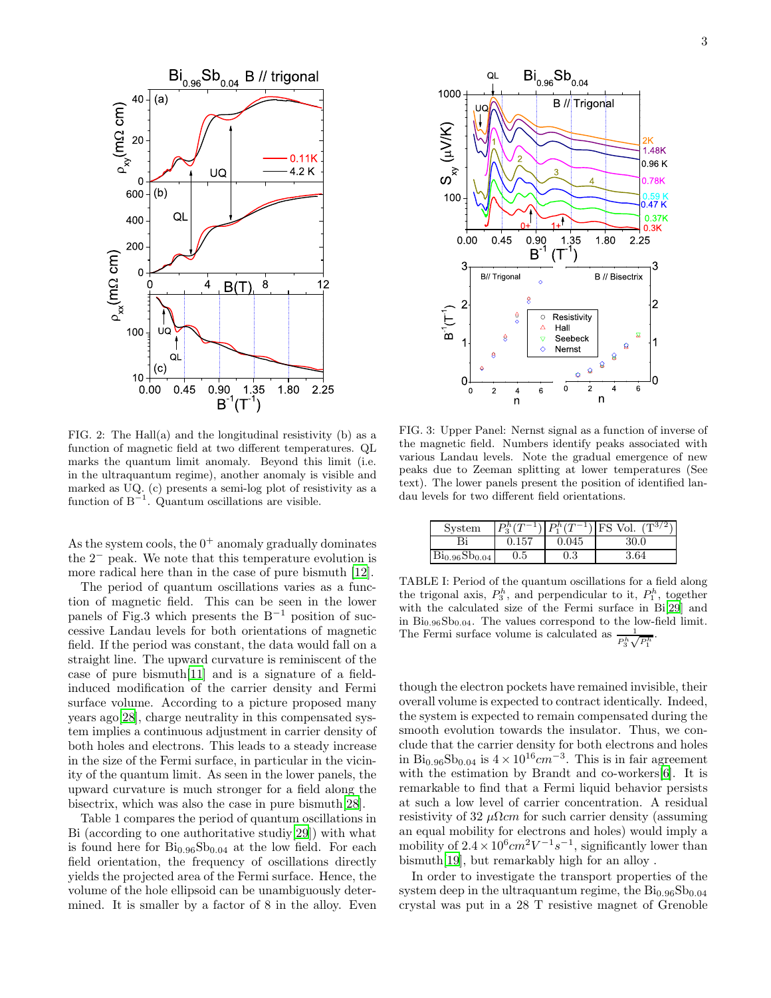

FIG. 2: The Hall(a) and the longitudinal resistivity (b) as a function of magnetic field at two different temperatures. QL marks the quantum limit anomaly. Beyond this limit (i.e. in the ultraquantum regime), another anomaly is visible and marked as UQ. (c) presents a semi-log plot of resistivity as a function of  $B^{-1}$ . Quantum oscillations are visible.

As the system cools, the  $0^+$  anomaly gradually dominates the 2<sup>−</sup> peak. We note that this temperature evolution is more radical here than in the case of pure bismuth [\[12\]](#page-3-11).

The period of quantum oscillations varies as a function of magnetic field. This can be seen in the lower panels of Fig.3 which presents the  $B^{-1}$  position of successive Landau levels for both orientations of magnetic field. If the period was constant, the data would fall on a straight line. The upward curvature is reminiscent of the case of pure bismuth[\[11](#page-3-10)] and is a signature of a fieldinduced modification of the carrier density and Fermi surface volume. According to a picture proposed many years ago[\[28](#page-4-1)], charge neutrality in this compensated system implies a continuous adjustment in carrier density of both holes and electrons. This leads to a steady increase in the size of the Fermi surface, in particular in the vicinity of the quantum limit. As seen in the lower panels, the upward curvature is much stronger for a field along the bisectrix, which was also the case in pure bismuth[\[28](#page-4-1)].

Table 1 compares the period of quantum oscillations in Bi (according to one authoritative studiy[\[29](#page-4-2)]) with what is found here for  $Bi_{0.96}Sb_{0.04}$  at the low field. For each field orientation, the frequency of oscillations directly yields the projected area of the Fermi surface. Hence, the volume of the hole ellipsoid can be unambiguously determined. It is smaller by a factor of 8 in the alloy. Even



FIG. 3: Upper Panel: Nernst signal as a function of inverse of the magnetic field. Numbers identify peaks associated with various Landau levels. Note the gradual emergence of new peaks due to Zeeman splitting at lower temperatures (See text). The lower panels present the position of identified landau levels for two different field orientations.

| System                         | $\left  P_{2}^{h}(T^{-1})\right  P_{1}^{h}(T^{-1})\right $ FS Vol. |           | $({\rm T}^{3/2} )$ |
|--------------------------------|--------------------------------------------------------------------|-----------|--------------------|
| Bi                             | 0.157                                                              | 0.045     | 30.0               |
| $\rm{Bi}_{0.96}\rm{Sb}_{0.04}$ | 0.5                                                                | $\rm 0.3$ | 3.64               |

TABLE I: Period of the quantum oscillations for a field along the trigonal axis,  $P_3^h$ , and perpendicular to it,  $P_1^h$ , together with the calculated size of the Fermi surface in Bi[\[29](#page-4-2)] and in  $\text{Bi}_{0.96}\text{Sb}_{0.04}$ . The values correspond to the low-field limit. The Fermi surface volume is calculated as  $\frac{1}{P_3^h \sqrt{P_1^h}}$ .

though the electron pockets have remained invisible, their overall volume is expected to contract identically. Indeed, the system is expected to remain compensated during the smooth evolution towards the insulator. Thus, we conclude that the carrier density for both electrons and holes in Bi<sub>0.96</sub>Sb<sub>0.04</sub> is  $4 \times 10^{16} cm^{-3}$ . This is in fair agreement with the estimation by Brandt and co-workers[\[6\]](#page-3-5). It is remarkable to find that a Fermi liquid behavior persists at such a low level of carrier concentration. A residual resistivity of 32  $\mu \Omega$ cm for such carrier density (assuming an equal mobility for electrons and holes) would imply a mobility of  $2.4 \times 10^6$  cm<sup>2</sup>V<sup>-1</sup>s<sup>-1</sup>, significantly lower than bismuth[\[19\]](#page-3-18), but remarkably high for an alloy .

In order to investigate the transport properties of the system deep in the ultraquantum regime, the  $Bi_{0.96}Sb_{0.04}$ crystal was put in a 28 T resistive magnet of Grenoble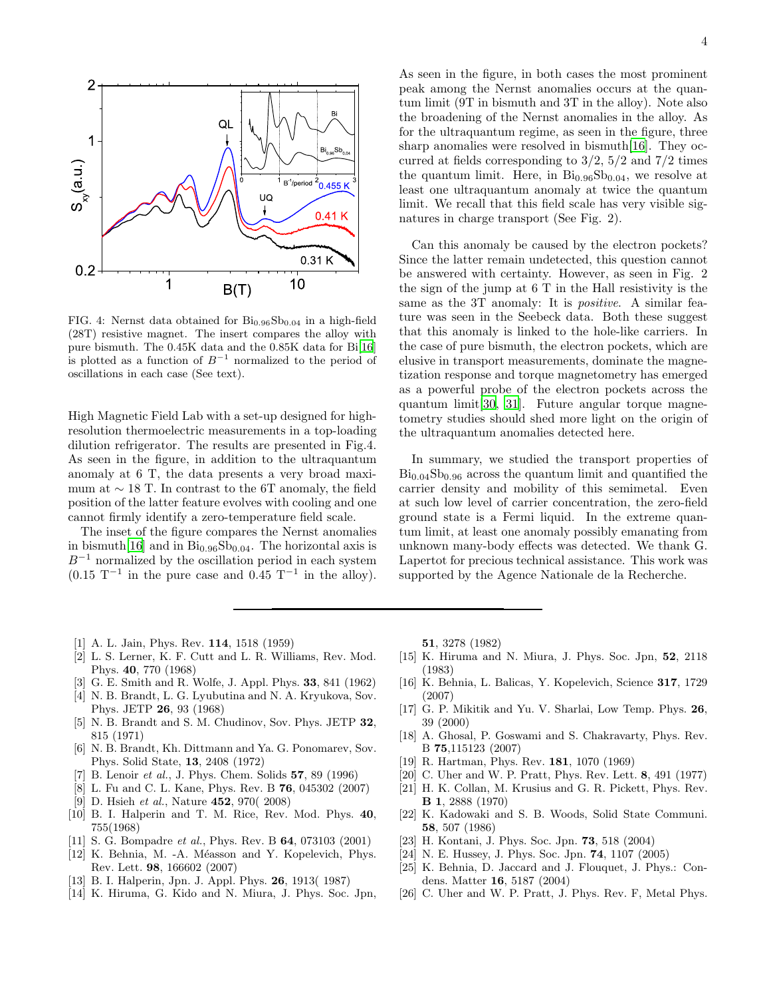

FIG. 4: Nernst data obtained for  $Bi_{0.96}Sb_{0.04}$  in a high-field (28T) resistive magnet. The insert compares the alloy with pure bismuth. The 0.45K data and the 0.85K data for Bi[\[16](#page-3-15)] is plotted as a function of  $B^{-1}$  normalized to the period of oscillations in each case (See text).

High Magnetic Field Lab with a set-up designed for highresolution thermoelectric measurements in a top-loading dilution refrigerator. The results are presented in Fig.4. As seen in the figure, in addition to the ultraquantum anomaly at 6 T, the data presents a very broad maximum at  $\sim$  18 T. In contrast to the 6T anomaly, the field position of the latter feature evolves with cooling and one cannot firmly identify a zero-temperature field scale.

The inset of the figure compares the Nernst anomalies in bismuth[\[16](#page-3-15)] and in  $Bi_{0.96}Sb_{0.04}$ . The horizontal axis is  $B^{-1}$  normalized by the oscillation period in each system  $(0.15$  T<sup>-1</sup> in the pure case and  $0.45$  T<sup>-1</sup> in the alloy).

As seen in the figure, in both cases the most prominent peak among the Nernst anomalies occurs at the quantum limit (9T in bismuth and 3T in the alloy). Note also the broadening of the Nernst anomalies in the alloy. As for the ultraquantum regime, as seen in the figure, three sharp anomalies were resolved in bismuth[\[16](#page-3-15)]. They occurred at fields corresponding to  $3/2$ ,  $5/2$  and  $7/2$  times the quantum limit. Here, in  $\text{Bi}_{0.96}\text{Sb}_{0.04}$ , we resolve at least one ultraquantum anomaly at twice the quantum limit. We recall that this field scale has very visible signatures in charge transport (See Fig. 2).

Can this anomaly be caused by the electron pockets? Since the latter remain undetected, this question cannot be answered with certainty. However, as seen in Fig. 2 the sign of the jump at 6 T in the Hall resistivity is the same as the 3T anomaly: It is *positive*. A similar feature was seen in the Seebeck data. Both these suggest that this anomaly is linked to the hole-like carriers. In the case of pure bismuth, the electron pockets, which are elusive in transport measurements, dominate the magnetization response and torque magnetometry has emerged as a powerful probe of the electron pockets across the quantum limit[\[30,](#page-4-3) [31\]](#page-4-4). Future angular torque magnetometry studies should shed more light on the origin of the ultraquantum anomalies detected here.

In summary, we studied the transport properties of  $Bi<sub>0.04</sub>Sb<sub>0.96</sub>$  across the quantum limit and quantified the carrier density and mobility of this semimetal. Even at such low level of carrier concentration, the zero-field ground state is a Fermi liquid. In the extreme quantum limit, at least one anomaly possibly emanating from unknown many-body effects was detected. We thank G. Lapertot for precious technical assistance. This work was supported by the Agence Nationale de la Recherche.

- <span id="page-3-0"></span>[1] A. L. Jain, Phys. Rev. 114, 1518 (1959)
- <span id="page-3-1"></span>[2] L. S. Lerner, K. F. Cutt and L. R. Williams, Rev. Mod. Phys. 40, 770 (1968)
- <span id="page-3-2"></span>[3] G. E. Smith and R. Wolfe, J. Appl. Phys. 33, 841 (1962)
- <span id="page-3-3"></span>[4] N. B. Brandt, L. G. Lyubutina and N. A. Kryukova, Sov. Phys. JETP 26, 93 (1968)
- <span id="page-3-4"></span>[5] N. B. Brandt and S. M. Chudinov, Sov. Phys. JETP 32, 815 (1971)
- <span id="page-3-5"></span>[6] N. B. Brandt, Kh. Dittmann and Ya. G. Ponomarev, Sov. Phys. Solid State, 13, 2408 (1972)
- <span id="page-3-6"></span>[7] B. Lenoir *et al.*, J. Phys. Chem. Solids **57**, 89 (1996)
- <span id="page-3-7"></span>[8] L. Fu and C. L. Kane, Phys. Rev. B 76, 045302 (2007)
- <span id="page-3-8"></span>[9] D. Hsieh *et al.*, Nature **452**, 970(2008)
- <span id="page-3-9"></span>[10] B. I. Halperin and T. M. Rice, Rev. Mod. Phys. 40, 755(1968)
- <span id="page-3-10"></span>[11] S. G. Bompadre *et al.*, Phys. Rev. B **64**, 073103 (2001)
- <span id="page-3-11"></span>[12] K. Behnia, M. -A. Méasson and Y. Kopelevich, Phys. Rev. Lett. 98, 166602 (2007)
- <span id="page-3-12"></span>[13] B. I. Halperin, Jpn. J. Appl. Phys. 26, 1913( 1987)
- <span id="page-3-13"></span>[14] K. Hiruma, G. Kido and N. Miura, J. Phys. Soc. Jpn,

51, 3278 (1982)

- <span id="page-3-14"></span>[15] K. Hiruma and N. Miura, J. Phys. Soc. Jpn, 52, 2118 (1983)
- <span id="page-3-15"></span>[16] K. Behnia, L. Balicas, Y. Kopelevich, Science 317, 1729 (2007)
- <span id="page-3-16"></span>[17] G. P. Mikitik and Yu. V. Sharlai, Low Temp. Phys. 26, 39 (2000)
- <span id="page-3-17"></span>[18] A. Ghosal, P. Goswami and S. Chakravarty, Phys. Rev. B 75,115123 (2007)
- <span id="page-3-18"></span>[19] R. Hartman, Phys. Rev. 181, 1070 (1969)
- <span id="page-3-19"></span>[20] C. Uher and W. P. Pratt, Phys. Rev. Lett. 8, 491 (1977)
- <span id="page-3-20"></span>[21] H. K. Collan, M. Krusius and G. R. Pickett, Phys. Rev. B 1, 2888 (1970)
- <span id="page-3-21"></span>[22] K. Kadowaki and S. B. Woods, Solid State Communi. 58, 507 (1986)
- <span id="page-3-22"></span>[23] H. Kontani, J. Phys. Soc. Jpn. 73, 518 (2004)
- <span id="page-3-23"></span>[24] N. E. Hussey, J. Phys. Soc. Jpn. 74, 1107 (2005)
- <span id="page-3-24"></span>[25] K. Behnia, D. Jaccard and J. Flouquet, J. Phys.: Condens. Matter 16, 5187 (2004)
- <span id="page-3-25"></span>[26] C. Uher and W. P. Pratt, J. Phys. Rev. F, Metal Phys.